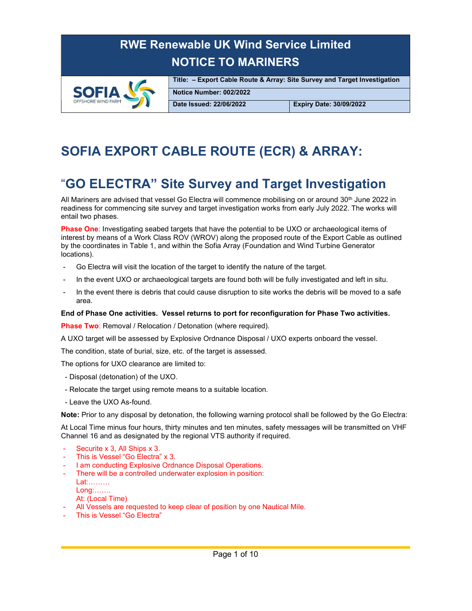

Title: – Export Cable Route & Array: Site Survey and Target Investigation Notice Number: 002/2022

Date Issued: 22/06/2022 Expiry Date: 30/09/2022

## SOFIA EXPORT CABLE ROUTE (ECR) & ARRAY:

### "GO ELECTRA" Site Survey and Target Investigation

All Mariners are advised that vessel Go Electra will commence mobilising on or around 30<sup>th</sup> June 2022 in readiness for commencing site survey and target investigation works from early July 2022. The works will entail two phases.

Phase One: Investigating seabed targets that have the potential to be UXO or archaeological items of interest by means of a Work Class ROV (WROV) along the proposed route of the Export Cable as outlined by the coordinates in Table 1, and within the Sofia Array (Foundation and Wind Turbine Generator locations).

- Go Electra will visit the location of the target to identify the nature of the target.
- In the event UXO or archaeological targets are found both will be fully investigated and left in situ.
- In the event there is debris that could cause disruption to site works the debris will be moved to a safe area.

#### End of Phase One activities. Vessel returns to port for reconfiguration for Phase Two activities.

Phase Two: Removal / Relocation / Detonation (where required).

A UXO target will be assessed by Explosive Ordnance Disposal / UXO experts onboard the vessel.

The condition, state of burial, size, etc. of the target is assessed.

The options for UXO clearance are limited to:

- Disposal (detonation) of the UXO.
- Relocate the target using remote means to a suitable location.
- Leave the UXO As-found.

Note: Prior to any disposal by detonation, the following warning protocol shall be followed by the Go Electra:

At Local Time minus four hours, thirty minutes and ten minutes, safety messages will be transmitted on VHF Channel 16 and as designated by the regional VTS authority if required.

- Securite x 3, All Ships x 3.
- This is Vessel "Go Electra" x 3.
- I am conducting Explosive Ordnance Disposal Operations.
- There will be a controlled underwater explosion in position:
	- Lat:………
	- Long:…….
	- At: (Local Time)
- All Vessels are requested to keep clear of position by one Nautical Mile.
- This is Vessel "Go Electra"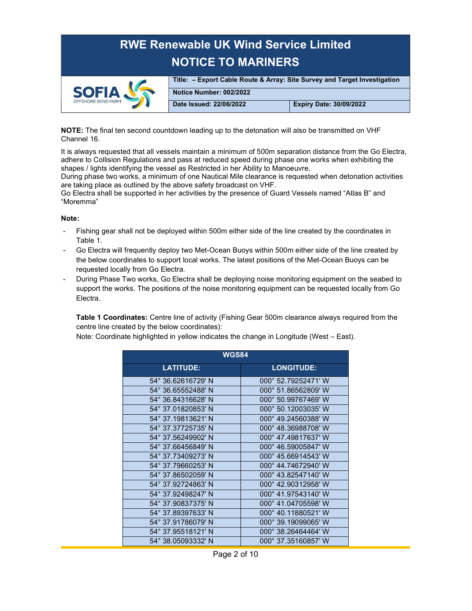

Title: – Export Cable Route & Array: Site Survey and Target Investigation Notice Number: 002/2022 Date Issued: 22/06/2022 Expiry Date: 30/09/2022

NOTE: The final ten second countdown leading up to the detonation will also be transmitted on VHF Channel 16.

It is always requested that all vessels maintain a minimum of 500m separation distance from the Go Electra, adhere to Collision Regulations and pass at reduced speed during phase one works when exhibiting the shapes / lights identifying the vessel as Restricted in her Ability to Manoeuvre.

During phase two works, a minimum of one Nautical Mile clearance is requested when detonation activities are taking place as outlined by the above safety broadcast on VHF.

Go Electra shall be supported in her activities by the presence of Guard Vessels named "Atlas B" and "Moremma"

#### Note:

- Fishing gear shall not be deployed within 500m either side of the line created by the coordinates in Table 1.
- Go Electra will frequently deploy two Met-Ocean Buoys within 500m either side of the line created by the below coordinates to support local works. The latest positions of the Met-Ocean Buoys can be requested locally from Go Electra.
- During Phase Two works, Go Electra shall be deploying noise monitoring equipment on the seabed to support the works. The positions of the noise monitoring equipment can be requested locally from Go Electra.

Table 1 Coordinates: Centre line of activity (Fishing Gear 500m clearance always required from the centre line created by the below coordinates):

Note: Coordinate highlighted in yellow indicates the change in Longitude (West – East).

| <b>WGS84</b>       |                     |  |
|--------------------|---------------------|--|
| <b>LATITUDE:</b>   | <b>LONGITUDE:</b>   |  |
| 54° 36.62616729' N | 000° 52.79252471' W |  |
| 54° 36.65552488' N | 000° 51.86562809' W |  |
| 54° 36.84316628' N | 000° 50.99767469' W |  |
| 54° 37.01820853' N | 000° 50.12003035' W |  |
| 54° 37.19813621' N | 000° 49.24560388' W |  |
| 54° 37.37725735' N | 000° 48.36988708' W |  |
| 54° 37.56249902' N | 000° 47.49817637' W |  |
| 54° 37.66456849' N | 000° 46.59005847' W |  |
| 54° 37.73409273' N | 000° 45.66914543' W |  |
| 54° 37.79660253' N | 000° 44.74672940' W |  |
| 54° 37.86502059' N | 000° 43.82547140' W |  |
| 54° 37.92724863' N | 000° 42.90312958' W |  |
| 54° 37.92498247' N | 000° 41.97543140' W |  |
| 54° 37.90837375' N | 000° 41.04705598' W |  |
| 54° 37.89397633' N | 000° 40.11880521' W |  |
| 54° 37.91786079' N | 000° 39.19099065' W |  |
| 54° 37.95518121' N | 000° 38.26464464' W |  |
| 54° 38.05093332' N | 000° 37.35160857' W |  |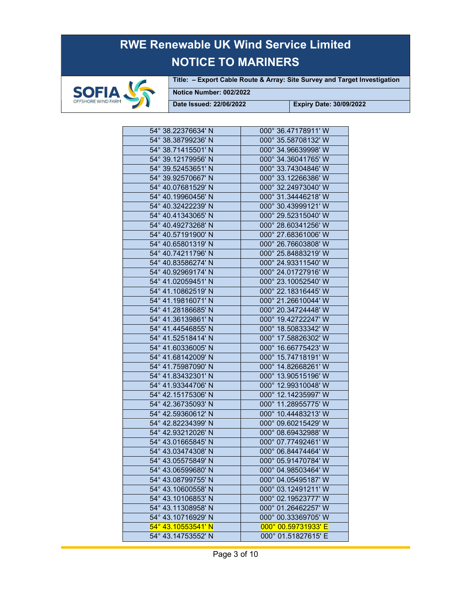

Title: – Export Cable Route & Array: Site Survey and Target Investigation

Notice Number: 002/2022

| 54° 38.22376634' N | 000° 36.47178911' W |
|--------------------|---------------------|
| 54° 38.38799236' N | 000° 35.58708132' W |
| 54° 38.71415501' N | 000° 34.96639998' W |
| 54° 39.12179956' N | 000° 34.36041765' W |
| 54° 39.52453651' N | 000° 33.74304846' W |
| 54° 39.92570667' N | 000° 33.12266386' W |
| 54° 40.07681529' N | 000° 32.24973040' W |
| 54° 40.19960456' N | 000° 31.34446218' W |
| 54° 40.32422239' N | 000° 30.43999121' W |
| 54° 40.41343065' N | 000° 29.52315040' W |
| 54° 40.49273268' N | 000° 28.60341256' W |
| 54° 40.57191900' N | 000° 27.68361006' W |
| 54° 40.65801319' N | 000° 26.76603808' W |
| 54° 40.74211796' N | 000° 25.84883219' W |
| 54° 40.83586274' N | 000° 24.93311540' W |
| 54° 40.92969174' N | 000° 24.01727916' W |
| 54° 41.02059451' N | 000° 23.10052540' W |
| 54° 41.10862519' N | 000° 22.18316445' W |
| 54° 41.19816071' N | 000° 21.26610044' W |
| 54° 41.28186685' N | 000° 20.34724448' W |
| 54° 41.36139861' N | 000° 19.42722247' W |
| 54° 41.44546855' N | 000° 18.50833342' W |
| 54° 41.52518414' N | 000° 17.58826302' W |
| 54° 41.60336005' N | 000° 16.66775423' W |
| 54° 41.68142009' N | 000° 15.74718191' W |
| 54° 41.75987090' N | 000° 14.82668261' W |
| 54° 41.83432301' N | 000° 13.90515196' W |
| 54° 41.93344706' N | 000° 12.99310048' W |
| 54° 42.15175306' N | 000° 12.14235997' W |
| 54° 42.36735093' N | 000° 11.28955775' W |
| 54° 42.59360612' N | 000° 10.44483213' W |
| 54° 42.82234399' N | 000° 09.60215429' W |
| 54° 42.93212026' N | 000° 08.69432988' W |
| 54° 43.01665845' N | 000° 07.77492461' W |
| 54° 43.03474308' N | 000° 06.84474464' W |
| 54° 43.05575849' N | 000° 05.91470784' W |
| 54° 43.06599680' N | 000° 04.98503464' W |
| 54° 43.08799755' N | 000° 04.05495187' W |
| 54° 43.10600558' N | 000° 03.12491211' W |
| 54° 43.10106853' N | 000° 02.19523777' W |
| 54° 43.11308958' N | 000° 01.26462257' W |
| 54° 43.10716929' N | 000° 00.33369705' W |
| 54° 43.10553541' N | 000° 00.59731933' E |
| 54° 43.14753552' N | 000° 01.51827615' E |
|                    |                     |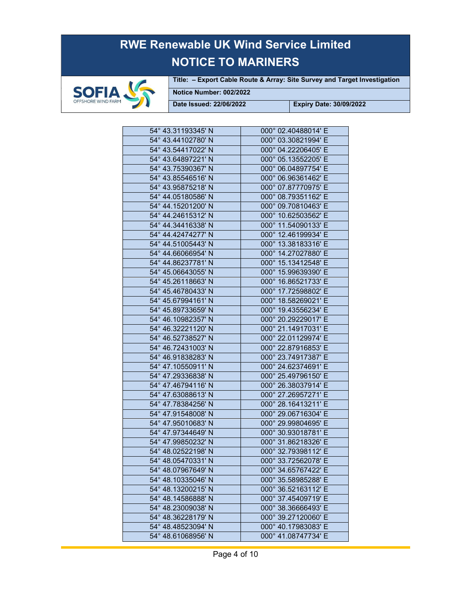

Title: – Export Cable Route & Array: Site Survey and Target Investigation

Notice Number: 002/2022

| 54° 43.31193345' N | 000° 02.40488014' E |
|--------------------|---------------------|
| 54° 43.44102780' N | 000° 03.30821994' E |
| 54° 43.54417022' N | 000° 04.22206405' E |
| 54° 43.64897221' N | 000° 05.13552205' E |
| 54° 43.75390367' N | 000° 06.04897754' E |
| 54° 43.85546516' N | 000° 06.96361462' E |
| 54° 43.95875218' N | 000° 07.87770975' E |
| 54° 44.05180586' N | 000° 08.79351162' E |
| 54° 44.15201200' N | 000° 09.70810463' E |
| 54° 44.24615312' N | 000° 10.62503562' E |
| 54° 44.34416338' N | 000° 11.54090133' E |
| 54° 44.42474277' N | 000° 12.46199934' E |
| 54° 44.51005443' N | 000° 13.38183316' E |
| 54° 44.66066954' N | 000° 14.27027880' E |
| 54° 44.86237781' N | 000° 15.13412548' E |
| 54° 45.06643055' N | 000° 15.99639390' E |
| 54° 45.26118663' N | 000° 16.86521733' E |
| 54° 45.46780433' N | 000° 17.72598802' E |
| 54° 45.67994161' N | 000° 18.58269021' E |
| 54° 45.89733659' N | 000° 19.43556234' E |
| 54° 46.10982357' N | 000° 20.29229017' E |
| 54° 46.32221120' N | 000° 21.14917031' E |
| 54° 46.52738527' N | 000° 22.01129974' E |
| 54° 46.72431003' N | 000° 22.87916853' E |
| 54° 46.91838283' N | 000° 23.74917387' E |
| 54° 47.10550911' N | 000° 24.62374691' E |
| 54° 47.29336838' N | 000° 25.49796150' E |
| 54° 47.46794116' N | 000° 26.38037914' E |
| 54° 47.63088613' N | 000° 27.26957271' E |
| 54° 47.78384256' N | 000° 28.16413211' E |
| 54° 47.91548008' N | 000° 29.06716304' E |
| 54° 47.95010683' N | 000° 29.99804695' E |
| 54° 47.97344649' N | 000° 30.93018781' E |
| 54° 47.99850232' N | 000° 31.86218326' E |
| 54° 48.02522198' N | 000° 32.79398112' E |
| 54° 48.05470331' N | 000° 33.72562078' E |
| 54° 48.07967649' N | 000° 34.65767422' E |
| 54° 48.10335046' N | 000° 35.58985288' E |
| 54° 48.13200215' N | 000° 36.52163112' E |
| 54° 48.14586888' N | 000° 37.45409719' E |
| 54° 48.23009038' N | 000° 38.36666493' E |
| 54° 48.36228179' N | 000° 39.27120060' E |
| 54° 48.48523094' N | 000° 40.17983083' E |
| 54° 48.61068956' N | 000° 41.08747734' E |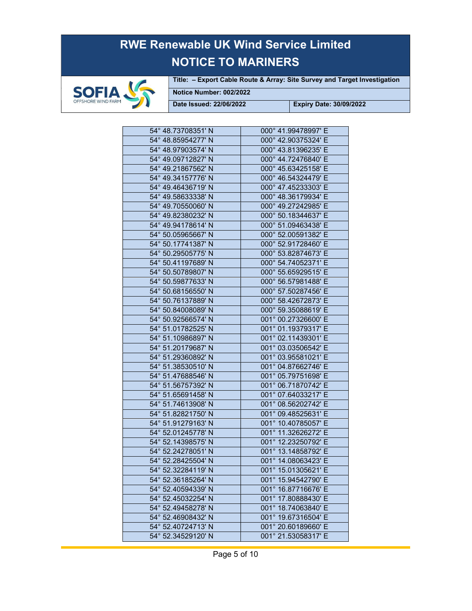

Title: – Export Cable Route & Array: Site Survey and Target Investigation

Notice Number: 002/2022

| 54° 48.73708351' N | 000° 41.99478997' E |
|--------------------|---------------------|
| 54° 48.85954277' N | 000° 42.90375324' E |
| 54° 48.97903574' N | 000° 43.81396235' E |
| 54° 49.09712827' N | 000° 44.72476840' E |
| 54° 49.21867562' N | 000° 45.63425158' E |
| 54° 49.34157776' N | 000° 46.54324479' E |
| 54° 49.46436719' N | 000° 47.45233303' E |
| 54° 49.58633338' N | 000° 48.36179934' E |
| 54° 49.70550060' N | 000° 49.27242985' E |
| 54° 49.82380232' N | 000° 50.18344637' E |
| 54° 49.94178614' N | 000° 51.09463438' E |
| 54° 50.05965667' N | 000° 52.00591382' E |
| 54° 50.17741387' N | 000° 52.91728460' E |
| 54° 50.29505775' N | 000° 53.82874673' E |
| 54° 50.41197689' N | 000° 54.74052371' E |
| 54° 50.50789807' N | 000° 55.65929515' E |
| 54° 50.59877633' N | 000° 56.57981488' E |
| 54° 50.68156550' N | 000° 57.50287456' E |
| 54° 50.76137889' N | 000° 58.42672873' E |
| 54° 50.84008089' N | 000° 59.35088619' E |
| 54° 50.92566574' N | 001° 00.27326600' E |
| 54° 51.01782525' N | 001° 01.19379317' E |
| 54° 51.10986897' N | 001° 02.11439301' E |
| 54° 51.20179687' N | 001° 03.03506542' E |
| 54° 51.29360892' N | 001° 03.95581021' E |
| 54° 51.38530510' N | 001° 04.87662746' E |
| 54° 51.47688546' N | 001° 05.79751698' E |
| 54° 51.56757392' N | 001° 06.71870742' E |
| 54° 51.65691458' N | 001° 07.64033217' E |
| 54° 51.74613908' N | 001° 08.56202742' E |
| 54° 51.82821750' N | 001° 09.48525631' E |
| 54° 51.91279163' N | 001° 10.40785057' E |
| 54° 52.01245778' N | 001° 11.32626272' E |
| 54° 52.14398575' N | 001° 12.23250792' E |
| 54° 52.24278051' N | 001° 13.14858792' E |
| 54° 52.28425504' N | 001° 14.08063423' E |
| 54° 52.32284119' N | 001° 15.01305621' E |
| 54° 52.36185264' N | 001° 15.94542790' E |
| 54° 52.40594339' N | 001° 16.87716676' E |
| 54° 52.45032254' N | 001° 17.80888430' E |
| 54° 52.49458278' N | 001° 18.74063840' E |
| 54° 52.46908432' N | 001° 19.67316504' E |
| 54° 52.40724713' N | 001° 20.60189660' E |
| 54° 52.34529120' N | 001° 21.53058317' E |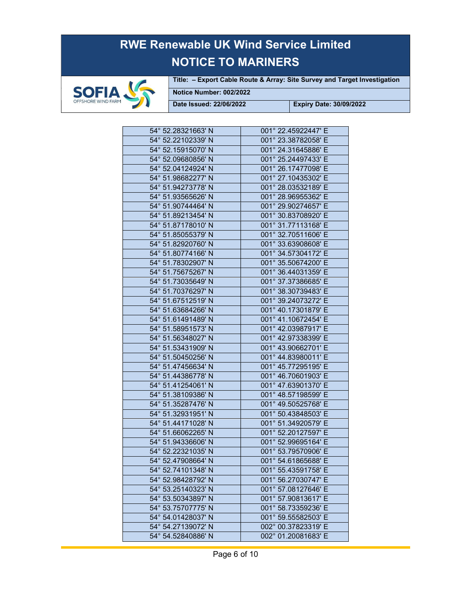

Title: – Export Cable Route & Array: Site Survey and Target Investigation

Notice Number: 002/2022

| 54° 52.28321663' N | 001° 22.45922447' E |
|--------------------|---------------------|
| 54° 52.22102339' N | 001° 23.38782058' E |
| 54° 52.15915070' N | 001° 24.31645886' E |
| 54° 52.09680856' N | 001° 25.24497433' E |
| 54° 52.04124924' N | 001° 26.17477098' E |
| 54° 51.98682277' N | 001° 27.10435302' E |
| 54° 51.94273778' N | 001° 28.03532189' E |
| 54° 51.93565626' N | 001° 28.96955362' E |
| 54° 51.90744464' N | 001° 29.90274657' E |
| 54° 51.89213454' N | 001° 30.83708920' E |
| 54° 51.87178010' N | 001° 31.77113168' E |
| 54° 51.85055379' N | 001° 32.70511606' E |
| 54° 51.82920760' N | 001° 33.63908608' E |
| 54° 51.80774166' N | 001° 34.57304172' E |
| 54° 51.78302907' N | 001° 35.50674200' E |
| 54° 51.75675267' N | 001° 36.44031359' E |
| 54° 51.73035649' N | 001° 37.37386685' E |
| 54° 51.70376297' N | 001° 38.30739483' E |
| 54° 51.67512519' N | 001° 39.24073272' E |
| 54° 51.63684266' N | 001° 40.17301879' E |
| 54° 51.61491489' N | 001° 41.10672454' E |
| 54° 51.58951573' N | 001° 42.03987917' E |
| 54° 51.56348027' N | 001° 42.97338399' E |
| 54° 51.53431909' N | 001° 43.90662701' E |
| 54° 51.50450256' N | 001° 44.83980011' E |
| 54° 51.47456634' N | 001° 45.77295195' E |
| 54° 51.44386778' N | 001° 46.70601903' E |
| 54° 51.41254061' N | 001° 47.63901370' E |
| 54° 51.38109386' N | 001° 48.57198599' E |
| 54° 51.35287476' N | 001° 49.50525768' E |
| 54° 51.32931951' N | 001° 50.43848503' E |
| 54° 51.44171028' N | 001° 51.34920579' E |
| 54° 51.66062265' N | 001° 52.20127597' E |
| 54° 51.94336606' N | 001° 52.99695164' E |
| 54° 52.22321035' N | 001° 53.79570906' E |
| 54° 52.47908664' N | 001° 54.61865688' E |
| 54° 52.74101348' N | 001° 55.43591758' E |
| 54° 52.98428792' N | 001° 56.27030747' E |
| 54° 53.25140323' N | 001° 57.08127646' E |
| 54° 53.50343897' N | 001° 57.90813617' E |
| 54° 53.75707775' N | 001° 58.73359236' E |
| 54° 54.01428037' N | 001° 59.55582503' E |
| 54° 54.27139072' N | 002° 00.37823319' E |
| 54° 54.52840886' N | 002° 01.20081683' E |
|                    |                     |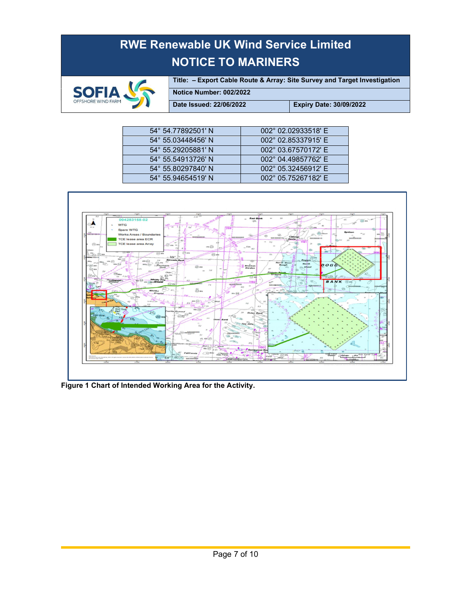

Title: – Export Cable Route & Array: Site Survey and Target Investigation

Notice Number: 002/2022

| 002° 02.02933518' E<br>54° 54.77892501' N<br>002° 02.85337915' E<br>54° 55.03448456' N<br>002° 03.67570172' E<br>54° 55.29205881' N<br>002° 04.49857762' E<br>54° 55.54913726' N<br>002° 05.32456912' E<br>54° 55.80297840' N<br>54° 55.94654519' N |
|-----------------------------------------------------------------------------------------------------------------------------------------------------------------------------------------------------------------------------------------------------|
|                                                                                                                                                                                                                                                     |
|                                                                                                                                                                                                                                                     |
|                                                                                                                                                                                                                                                     |
|                                                                                                                                                                                                                                                     |
|                                                                                                                                                                                                                                                     |
| 002° 05.75267182' E                                                                                                                                                                                                                                 |



Figure 1 Chart of Intended Working Area for the Activity.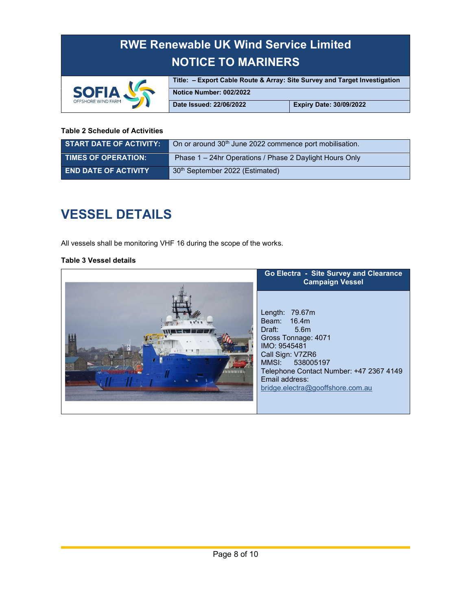

Title: – Export Cable Route & Array: Site Survey and Target Investigation Notice Number: 002/2022 Date Issued: 22/06/2022 Expiry Date: 30/09/2022

#### Table 2 Schedule of Activities

| <b>START DATE OF ACTIVITY:</b> | On or around 30 <sup>th</sup> June 2022 commence port mobilisation. |
|--------------------------------|---------------------------------------------------------------------|
| <b>TIMES OF OPERATION:</b>     | Phase 1 – 24hr Operations / Phase 2 Daylight Hours Only             |
| <b>END DATE OF ACTIVITY</b>    | 30th September 2022 (Estimated)                                     |

### VESSEL DETAILS

All vessels shall be monitoring VHF 16 during the scope of the works.

#### Table 3 Vessel details

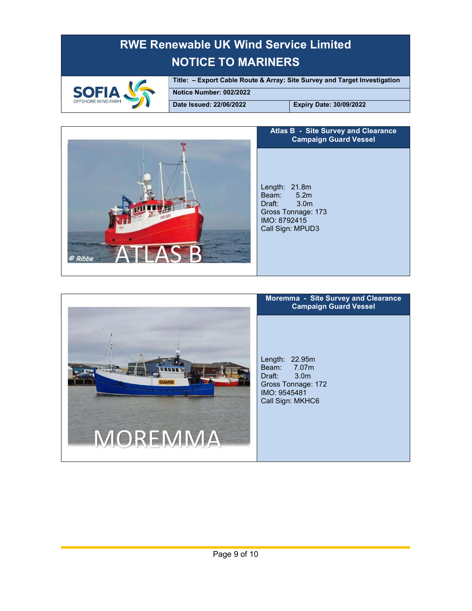

Title: – Export Cable Route & Array: Site Survey and Target Investigation Notice Number: 002/2022

Date Issued: 22/06/2022 Expiry Date: 30/09/2022



#### Atlas B - Site Survey and Clearance Campaign Guard Vessel

Length: 21.8m Beam: 5.2m<br>Draft: 3.0m Draft: Gross Tonnage: 173 IMO: 8792415 Call Sign: MPUD3